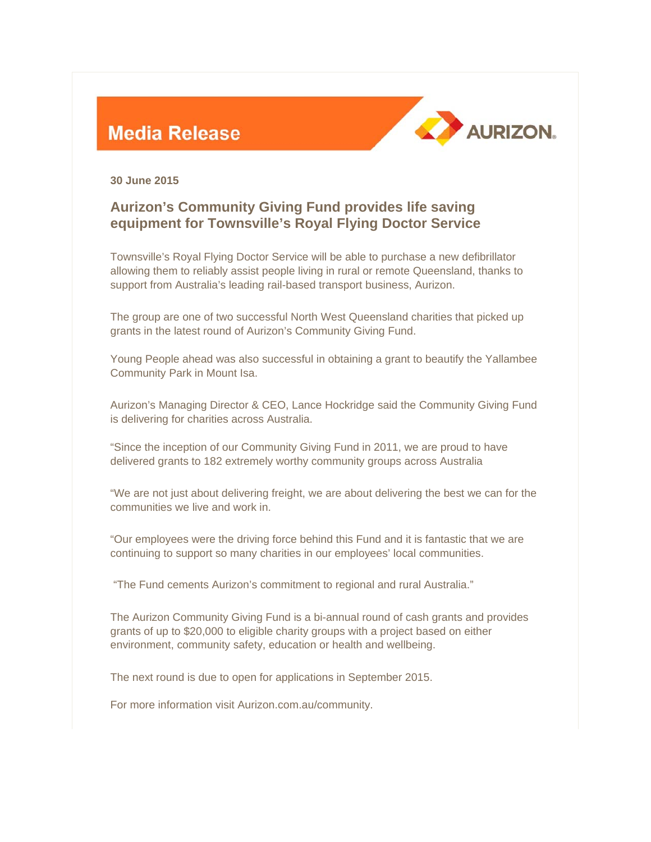## **Media Release**



**30 June 2015** 

## **Aurizon's Community Giving Fund provides life saving equipment for Townsville's Royal Flying Doctor Service**

Townsville's Royal Flying Doctor Service will be able to purchase a new defibrillator allowing them to reliably assist people living in rural or remote Queensland, thanks to support from Australia's leading rail-based transport business, Aurizon.

The group are one of two successful North West Queensland charities that picked up grants in the latest round of Aurizon's Community Giving Fund.

Young People ahead was also successful in obtaining a grant to beautify the Yallambee Community Park in Mount Isa.

Aurizon's Managing Director & CEO, Lance Hockridge said the Community Giving Fund is delivering for charities across Australia.

"Since the inception of our Community Giving Fund in 2011, we are proud to have delivered grants to 182 extremely worthy community groups across Australia

"We are not just about delivering freight, we are about delivering the best we can for the communities we live and work in.

"Our employees were the driving force behind this Fund and it is fantastic that we are continuing to support so many charities in our employees' local communities.

"The Fund cements Aurizon's commitment to regional and rural Australia."

The Aurizon Community Giving Fund is a bi-annual round of cash grants and provides grants of up to \$20,000 to eligible charity groups with a project based on either environment, community safety, education or health and wellbeing.

The next round is due to open for applications in September 2015.

For more information visit Aurizon.com.au/community.